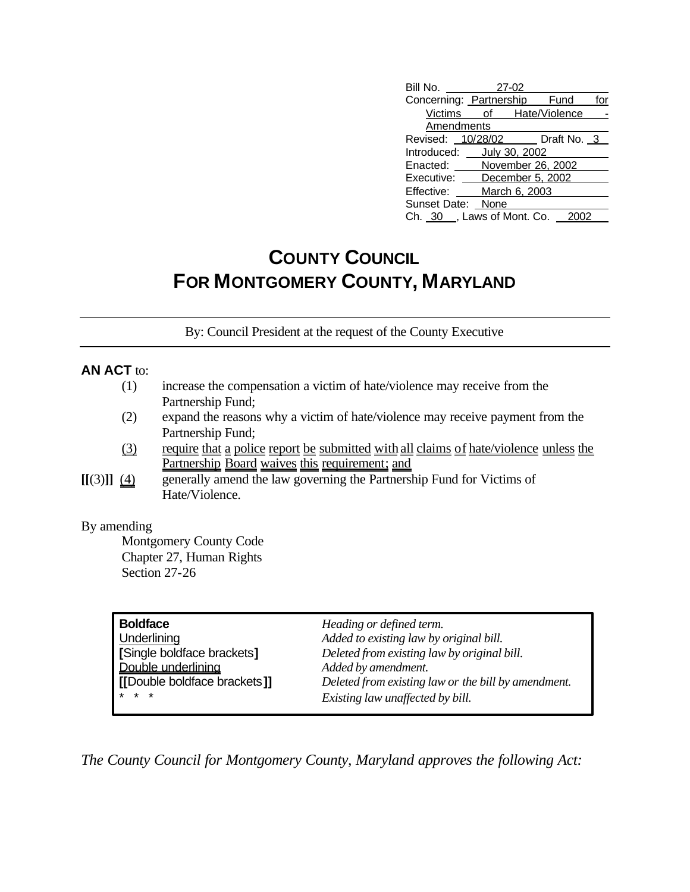| Bill No. 27-02    |                               |     |
|-------------------|-------------------------------|-----|
|                   | Concerning: Partnership Fund  | for |
|                   | Victims of Hate/Violence      |     |
| Amendments        |                               |     |
|                   | Revised: 10/28/02 Draft No. 3 |     |
|                   | Introduced: July 30, 2002     |     |
|                   | Enacted: November 26, 2002    |     |
|                   | Executive: December 5, 2002   |     |
|                   | Effective: March 6, 2003      |     |
| Sunset Date: None |                               |     |
|                   | Ch. 30, Laws of Mont. Co. 2   |     |

## **COUNTY COUNCIL FOR MONTGOMERY COUNTY, MARYLAND**

By: Council President at the request of the County Executive

## **AN ACT** to:

- (1) increase the compensation a victim of hate/violence may receive from the Partnership Fund;
- (2) expand the reasons why a victim of hate/violence may receive payment from the Partnership Fund;
- (3) require that a police report be submitted with all claims of hate/violence unless the Partnership Board waives this requirement; and
- **[[**(3)**]]** (4) generally amend the law governing the Partnership Fund for Victims of Hate/Violence.

## By amending

Montgomery County Code Chapter 27, Human Rights Section 27-26

| <b>Boldface</b>              | Heading or defined term.                            |
|------------------------------|-----------------------------------------------------|
| Underlining                  | Added to existing law by original bill.             |
| [Single boldface brackets]   | Deleted from existing law by original bill.         |
| Double underlining           | Added by amendment.                                 |
| [[Double boldface brackets]] | Deleted from existing law or the bill by amendment. |
| $* * *$                      | Existing law unaffected by bill.                    |

*The County Council for Montgomery County, Maryland approves the following Act:*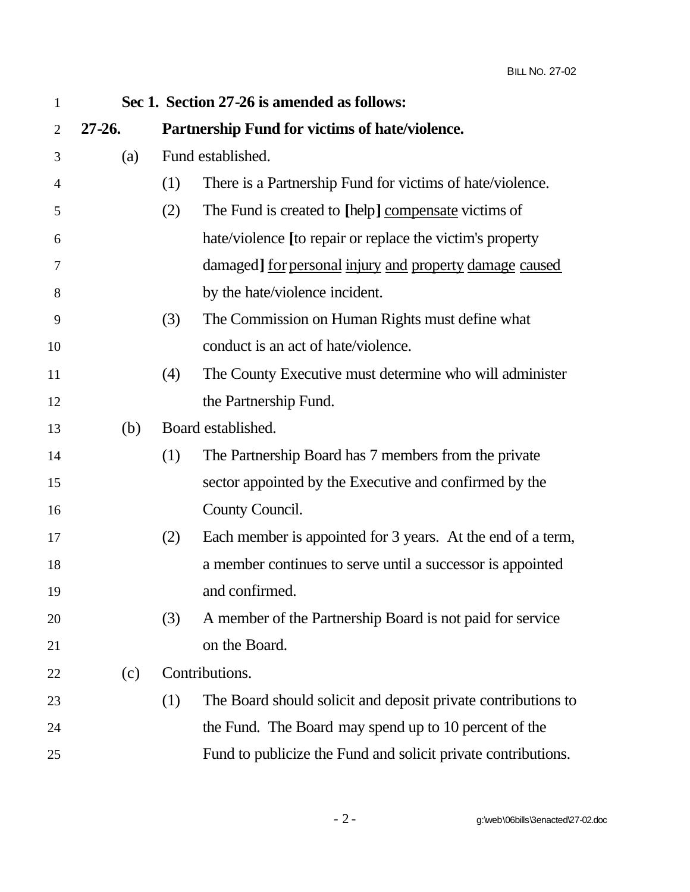| $\mathbf{1}$   |            |     | Sec 1. Section 27-26 is amended as follows:                   |
|----------------|------------|-----|---------------------------------------------------------------|
| $\overline{2}$ | $27 - 26.$ |     | Partnership Fund for victims of hate/violence.                |
| 3              | (a)        |     | Fund established.                                             |
| 4              |            | (1) | There is a Partnership Fund for victims of hate/violence.     |
| 5              |            | (2) | The Fund is created to [help] compensate victims of           |
| 6              |            |     | hate/violence [to repair or replace the victim's property     |
| 7              |            |     | damaged] for personal injury and property damage caused       |
| 8              |            |     | by the hate/violence incident.                                |
| 9              |            | (3) | The Commission on Human Rights must define what               |
| 10             |            |     | conduct is an act of hate/violence.                           |
| 11             |            | (4) | The County Executive must determine who will administer       |
| 12             |            |     | the Partnership Fund.                                         |
| 13             | (b)        |     | Board established.                                            |
| 14             |            | (1) | The Partnership Board has 7 members from the private          |
| 15             |            |     | sector appointed by the Executive and confirmed by the        |
| 16             |            |     | County Council.                                               |
| 17             |            | (2) | Each member is appointed for 3 years. At the end of a term,   |
| 18             |            |     | a member continues to serve until a successor is appointed    |
| 19             |            |     | and confirmed.                                                |
| 20             |            | (3) | A member of the Partnership Board is not paid for service     |
| 21             |            |     | on the Board.                                                 |
| 22             | (c)        |     | Contributions.                                                |
| 23             |            | (1) | The Board should solicit and deposit private contributions to |
| 24             |            |     | the Fund. The Board may spend up to 10 percent of the         |
| 25             |            |     | Fund to publicize the Fund and solicit private contributions. |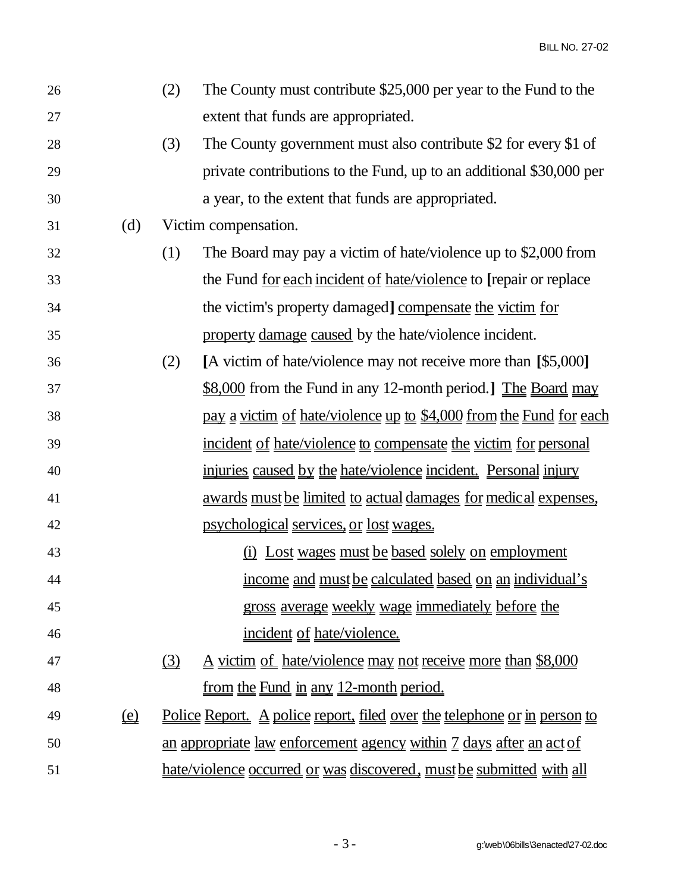BILL NO. 27-02

| 26 |                            | (2)      | The County must contribute \$25,000 per year to the Fund to the                 |
|----|----------------------------|----------|---------------------------------------------------------------------------------|
| 27 |                            |          | extent that funds are appropriated.                                             |
| 28 |                            | (3)      | The County government must also contribute \$2 for every \$1 of                 |
| 29 |                            |          | private contributions to the Fund, up to an additional \$30,000 per             |
| 30 |                            |          | a year, to the extent that funds are appropriated.                              |
| 31 | (d)                        |          | Victim compensation.                                                            |
| 32 |                            | (1)      | The Board may pay a victim of hate/violence up to \$2,000 from                  |
| 33 |                            |          | the Fund <u>for each incident of hate/violence</u> to [repair or replace        |
| 34 |                            |          | the victim's property damaged] compensate the victim for                        |
| 35 |                            |          | property damage caused by the hate/violence incident.                           |
| 36 |                            | (2)      | [A victim of hate/violence may not receive more than [\$5,000]                  |
| 37 |                            |          | $$8,000$ from the Fund in any 12-month period.] The Board may                   |
| 38 |                            |          | <u>pay a victim of hate/violence up to \$4,000 from the Fund for each</u>       |
| 39 |                            |          | incident of hate/violence to compensate the victim for personal                 |
| 40 |                            |          | injuries caused by the hate/violence incident. Personal injury                  |
| 41 |                            |          | <u>awards must be limited to actual damages for medical expenses.</u>           |
| 42 |                            |          | <u>psychological services, or lost wages.</u>                                   |
| 43 |                            |          | <u>(i) Lost wages must be based solely on employment</u>                        |
| 44 |                            |          | income and must be calculated based on an individual's                          |
| 45 |                            |          | gross average weekly wage immediately before the                                |
| 46 |                            |          | <u>incident</u> of hate/violence.                                               |
| 47 |                            | $\Omega$ | A victim of hate/violence may not receive more than \$8,000                     |
| 48 |                            |          | <u>from the Fund in any 12-month period.</u>                                    |
| 49 | $\underline{\mathbf{(e)}}$ |          | <u>Police Report. A police report, filed over the telephone or in person to</u> |
| 50 |                            |          | an appropriate law enforcement agency within 7 days after an act of             |
| 51 |                            |          | hate/violence occurred or was discovered, must be submitted with all            |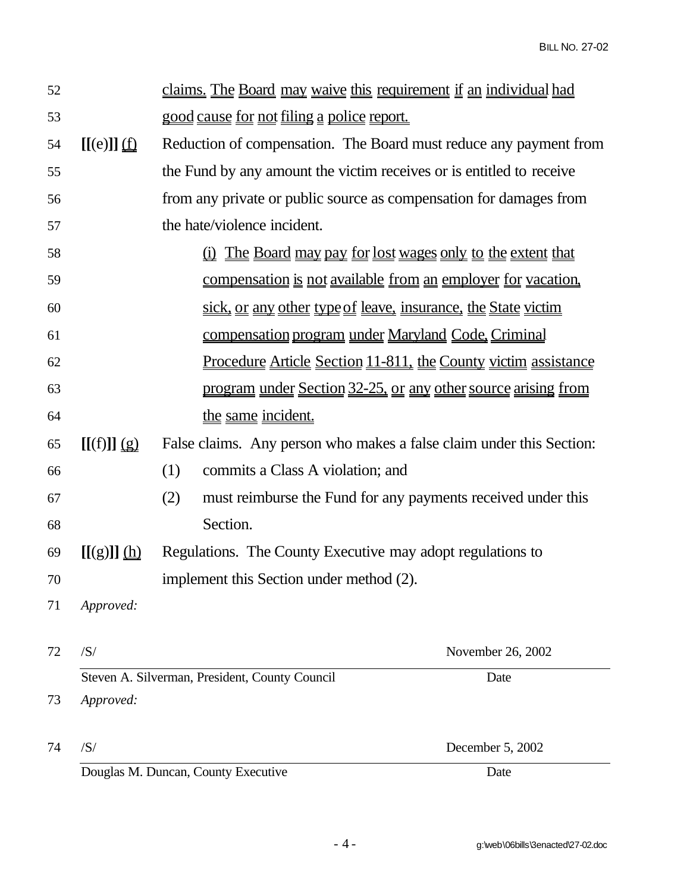| 52 |                             | claims. The Board may waive this requirement if an individual had    |                                                                       |  |
|----|-----------------------------|----------------------------------------------------------------------|-----------------------------------------------------------------------|--|
| 53 |                             | good cause for not filing a police report.                           |                                                                       |  |
| 54 | $[[(e)]]$ $\underline{(f)}$ | Reduction of compensation. The Board must reduce any payment from    |                                                                       |  |
| 55 |                             | the Fund by any amount the victim receives or is entitled to receive |                                                                       |  |
| 56 |                             | from any private or public source as compensation for damages from   |                                                                       |  |
| 57 |                             | the hate/violence incident.                                          |                                                                       |  |
| 58 |                             |                                                                      | <u>(i) The Board may pay for lost wages only to the extent that</u>   |  |
| 59 |                             |                                                                      | compensation is not available from an employer for vacation.          |  |
| 60 |                             | sick, or any other type of leave, insurance, the State victim        |                                                                       |  |
| 61 |                             | <u>compensation program under Maryland Code, Criminal</u>            |                                                                       |  |
| 62 |                             |                                                                      | <u>Procedure Article Section 11-811, the County victim assistance</u> |  |
| 63 |                             |                                                                      | program under Section 32-25, or any other source arising from         |  |
| 64 |                             | the same incident.                                                   |                                                                       |  |
| 65 | $[(f)]]$ $(g)$              | False claims. Any person who makes a false claim under this Section: |                                                                       |  |
| 66 |                             | (1)<br>commits a Class A violation; and                              |                                                                       |  |
| 67 |                             | (2)                                                                  | must reimburse the Fund for any payments received under this          |  |
| 68 |                             | Section.                                                             |                                                                       |  |
| 69 | [[(g)]](h)                  | Regulations. The County Executive may adopt regulations to           |                                                                       |  |
| 70 |                             | implement this Section under method (2).                             |                                                                       |  |
| 71 | Approved:                   |                                                                      |                                                                       |  |
|    |                             |                                                                      |                                                                       |  |
| 72 | /S/                         |                                                                      | November 26, 2002                                                     |  |
|    |                             | Steven A. Silverman, President, County Council                       | Date                                                                  |  |
| 73 | Approved:                   |                                                                      |                                                                       |  |
| 74 | /S/                         |                                                                      | December 5, 2002                                                      |  |
|    |                             | Douglas M. Duncan, County Executive                                  | Date                                                                  |  |